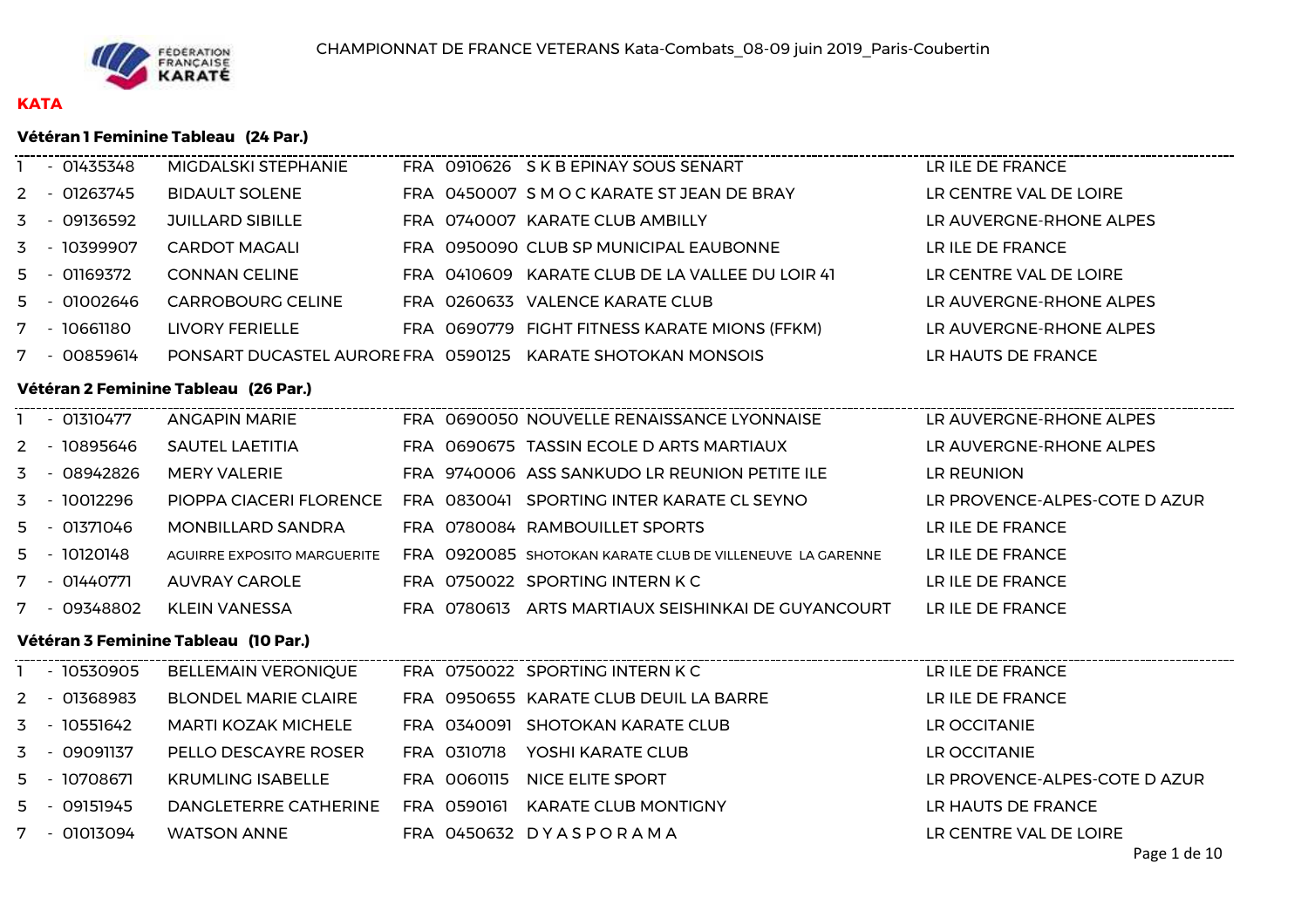

# **KATA**

### **Vétéran 1 Feminine Tableau (24 Par.)**

| - 01435348                           |  | MIGDALSKI STEPHANIE                  |  |  | FRA 0910626 S K B EPINAY SOUS SENART                                     | LR ILE DE FRANCE              |  |  |  |
|--------------------------------------|--|--------------------------------------|--|--|--------------------------------------------------------------------------|-------------------------------|--|--|--|
| 2 - 01263745                         |  | <b>BIDAULT SOLENE</b>                |  |  | FRA 0450007 S M O C KARATE ST JEAN DE BRAY                               | LR CENTRE VAL DE LOIRE        |  |  |  |
| 3 - 09136592                         |  | <b>JUILLARD SIBILLE</b>              |  |  | FRA 0740007 KARATE CLUB AMBILLY                                          | LR AUVERGNE-RHONE ALPES       |  |  |  |
| 3 - 10399907                         |  | <b>CARDOT MAGALI</b>                 |  |  | FRA 0950090 CLUB SP MUNICIPAL EAUBONNE                                   | LR ILE DE FRANCE              |  |  |  |
| 5 - 01169372                         |  | <b>CONNAN CELINE</b>                 |  |  | FRA 0410609 KARATE CLUB DE LA VALLEE DU LOIR 41                          | LR CENTRE VAL DE LOIRE        |  |  |  |
| 5 - 01002646                         |  | CARROBOURG CELINE                    |  |  | FRA 0260633 VALENCE KARATE CLUB                                          | LR AUVERGNE-RHONE ALPES       |  |  |  |
| 7 - 10661180                         |  | LIVORY FERIELLE                      |  |  | FRA 0690779 FIGHT FITNESS KARATE MIONS (FFKM)                            | LR AUVERGNE-RHONE ALPES       |  |  |  |
| 7 - 00859614                         |  |                                      |  |  | PONSART DUCASTEL AURORE FRA 0590125 KARATE SHOTOKAN MONSOIS              | LR HAUTS DE FRANCE            |  |  |  |
| Vétéran 2 Feminine Tableau (26 Par.) |  |                                      |  |  |                                                                          |                               |  |  |  |
| 1 - 01310477                         |  | <b>ANGAPIN MARIE</b>                 |  |  | FRA 0690050 NOUVELLE RENAISSANCE LYONNAISE                               | LR AUVERGNE-RHONE ALPES       |  |  |  |
| 2 - 10895646                         |  | <b>SAUTEL LAETITIA</b>               |  |  | FRA 0690675 TASSIN ECOLE D ARTS MARTIAUX                                 | LR AUVERGNE-RHONE ALPES       |  |  |  |
| 3 - 08942826                         |  | <b>MERY VALERIE</b>                  |  |  | FRA 9740006 ASS SANKUDO LR REUNION PETITE ILE                            | LR REUNION                    |  |  |  |
| 3 - 10012296                         |  | PIOPPA CIACERI FLORENCE              |  |  | FRA 0830041 SPORTING INTER KARATE CL SEYNO                               | LR PROVENCE-ALPES-COTE D AZUR |  |  |  |
| 5 - 01371046                         |  | <b>MONBILLARD SANDRA</b>             |  |  | FRA 0780084 RAMBOUILLET SPORTS                                           | LR ILE DE FRANCE              |  |  |  |
| 5 - 10120148                         |  | AGUIRRE EXPOSITO MARGUERITE          |  |  | FRA 0920085 SHOTOKAN KARATE CLUB DE VILLENEUVE LA GARENNE                | LR ILE DE FRANCE              |  |  |  |
| 7 - 01440771                         |  | <b>AUVRAY CAROLE</b>                 |  |  | FRA 0750022 SPORTING INTERN K C                                          | LR ILE DE FRANCE              |  |  |  |
| 7 - 09348802                         |  | KLEIN VANESSA                        |  |  | FRA 0780613 ARTS MARTIAUX SEISHINKAI DE GUYANCOURT                       | LR ILE DE FRANCE              |  |  |  |
|                                      |  | Vétéran 3 Feminine Tableau (10 Par.) |  |  |                                                                          |                               |  |  |  |
| 1 - 10530905                         |  | <b>BELLEMAIN VERONIQUE</b>           |  |  | -------------------------------------<br>FRA 0750022 SPORTING INTERN K C | LR ILE DE FRANCE              |  |  |  |
| 2 - 01368983                         |  | <b>BLONDEL MARIE CLAIRE</b>          |  |  | FRA 0950655 KARATE CLUB DEUIL LA BARRE                                   | LR ILE DE FRANCE              |  |  |  |
| 3 - 10551642                         |  | <b>MARTI KOZAK MICHELE</b>           |  |  | FRA 0340091 SHOTOKAN KARATE CLUB                                         | LR OCCITANIE                  |  |  |  |
| 3 - 09091137                         |  | PELLO DESCAYRE ROSER                 |  |  | FRA 0310718 YOSHI KARATE CLUB                                            | LR OCCITANIE                  |  |  |  |
| 5 - 10708671                         |  | <b>KRUMLING ISABELLE</b>             |  |  | FRA 0060115 NICE ELITE SPORT                                             | LR PROVENCE-ALPES-COTE D AZUR |  |  |  |
| 5 - 09151945                         |  | DANGLETERRE CATHERINE                |  |  | FRA 0590161 KARATE CLUB MONTIGNY                                         | LR HAUTS DE FRANCE            |  |  |  |
| 7 - 01013094                         |  | <b>WATSON ANNE</b>                   |  |  | FRA 0450632 DYASPORAMA                                                   | LR CENTRE VAL DE LOIRE        |  |  |  |
|                                      |  |                                      |  |  |                                                                          | $D$ 300 1 de 10               |  |  |  |

------------------------------------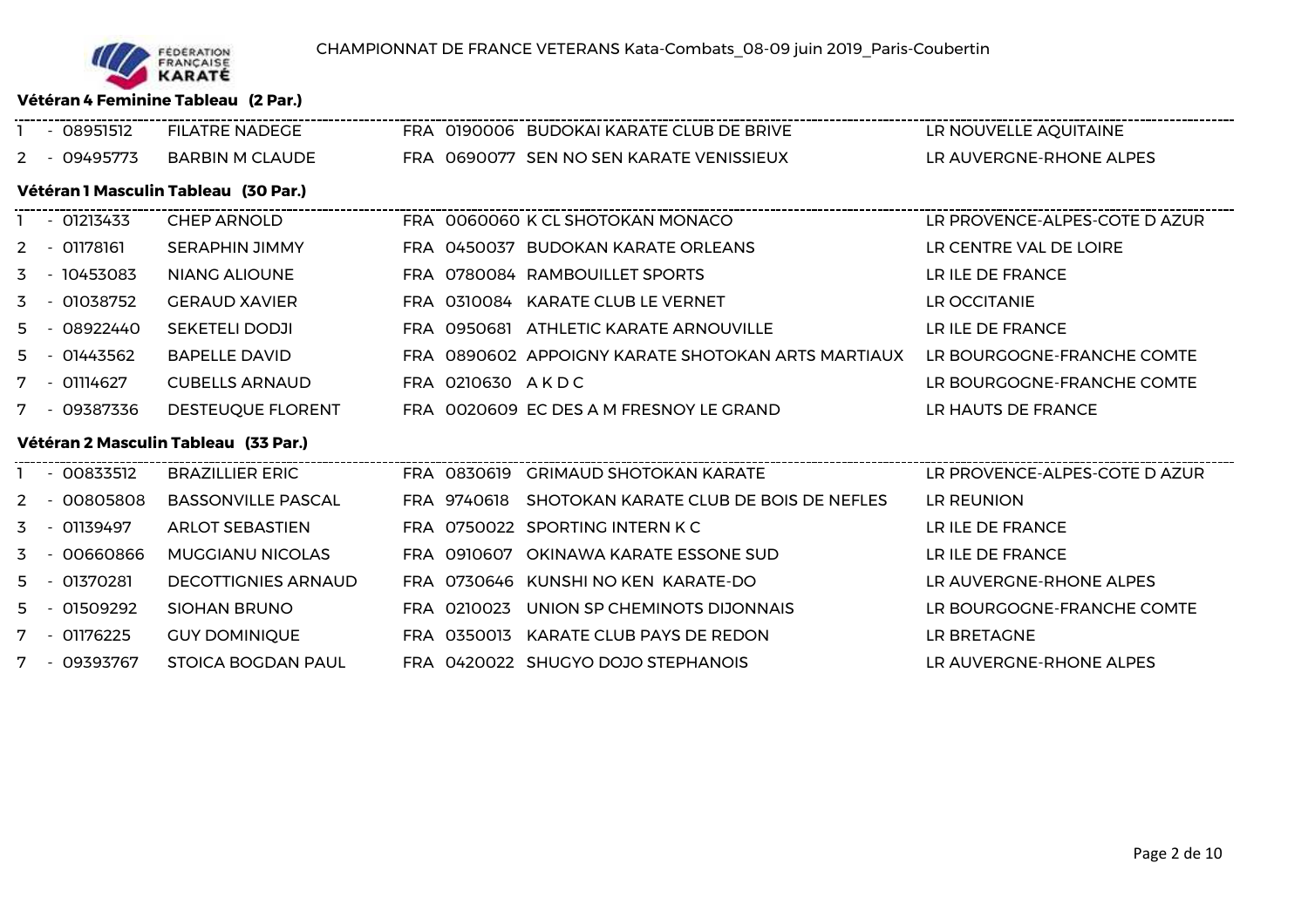

**Vétéran 4 Feminine Tableau (2 Par.)**

|    | $-08951512$                          | <b>FILATRE NADEGE</b>                |  |                  | FRA 0190006 BUDOKAI KARATE CLUB DE BRIVE           | LR NOUVELLE AQUITAINE         |  |  |  |  |  |
|----|--------------------------------------|--------------------------------------|--|------------------|----------------------------------------------------|-------------------------------|--|--|--|--|--|
|    | 2 - 09495773                         | <b>BARBIN M CLAUDE</b>               |  |                  | FRA 0690077 SEN NO SEN KARATE VENISSIEUX           | LR AUVERGNE-RHONE ALPES       |  |  |  |  |  |
|    | Vétéran 1 Masculin Tableau (30 Par.) |                                      |  |                  |                                                    |                               |  |  |  |  |  |
|    | $-01213433$                          | <b>CHEP ARNOLD</b>                   |  |                  | FRA 0060060 K CL SHOTOKAN MONACO                   | LR PROVENCE-ALPES-COTE D AZUR |  |  |  |  |  |
|    | 2 - 01178161                         | <b>SERAPHIN JIMMY</b>                |  |                  | FRA 0450037 BUDOKAN KARATE ORLEANS                 | LR CENTRE VAL DE LOIRE        |  |  |  |  |  |
| 3. | - 10453083                           | NIANG ALIOUNE                        |  |                  | FRA 0780084 RAMBOUILLET SPORTS                     | LR ILE DE FRANCE              |  |  |  |  |  |
| 3. | - 01038752                           | <b>GERAUD XAVIER</b>                 |  |                  | FRA 0310084 KARATE CLUB LE VERNET                  | LR OCCITANIE                  |  |  |  |  |  |
| 5. | - 08922440                           | <b>SEKETELI DODJI</b>                |  |                  | FRA 0950681 ATHLETIC KARATE ARNOUVILLE             | LR ILE DE FRANCE              |  |  |  |  |  |
| 5. | - 01443562                           | <b>BAPELLE DAVID</b>                 |  |                  | FRA 0890602 APPOIGNY KARATE SHOTOKAN ARTS MARTIAUX | LR BOURGOGNE-FRANCHE COMTE    |  |  |  |  |  |
|    | 7 - 01114627                         | <b>CUBELLS ARNAUD</b>                |  | FRA 0210630 AKDC |                                                    | LR BOURGOGNE-FRANCHE COMTE    |  |  |  |  |  |
|    | 7 - 09387336                         | DESTEUQUE FLORENT                    |  |                  | FRA 0020609 EC DES A M FRESNOY LE GRAND            | LR HAUTS DE FRANCE            |  |  |  |  |  |
|    |                                      | Vétéran 2 Masculin Tableau (33 Par.) |  |                  |                                                    |                               |  |  |  |  |  |
|    | $-00833512$                          | <b>BRAZILLIER ERIC</b>               |  |                  | FRA 0830619 GRIMAUD SHOTOKAN KARATE                | LR PROVENCE-ALPES-COTE D AZUR |  |  |  |  |  |
|    | - 00805808                           | <b>BASSONVILLE PASCAL</b>            |  |                  | FRA 9740618 SHOTOKAN KARATE CLUB DE BOIS DE NEFLES | LR REUNION                    |  |  |  |  |  |
| 3  | - 01139497                           | <b>ARLOT SEBASTIEN</b>               |  |                  | FRA 0750022 SPORTING INTERN K C                    | LR ILE DE FRANCE              |  |  |  |  |  |
| 3  | - 00660866                           | <b>MUGGIANU NICOLAS</b>              |  |                  | FRA 0910607 OKINAWA KARATE ESSONE SUD              | LR ILE DE FRANCE              |  |  |  |  |  |
| 5. | $-01370281$                          | <b>DECOTTIGNIES ARNAUD</b>           |  |                  | FRA 0730646 KUNSHI NO KEN KARATE-DO                | LR AUVERGNE-RHONE ALPES       |  |  |  |  |  |
| 5  | - 01509292                           | <b>SIOHAN BRUNO</b>                  |  | FRA 0210023      | UNION SP CHEMINOTS DIJONNAIS                       | LR BOURGOGNE-FRANCHE COMTE    |  |  |  |  |  |
|    | 7 - 01176225                         | <b>GUY DOMINIQUE</b>                 |  |                  | FRA 0350013 KARATE CLUB PAYS DE REDON              | LR BRETAGNE                   |  |  |  |  |  |
|    | 7 - 09393767                         | <b>STOICA BOGDAN PAUL</b>            |  |                  | FRA 0420022 SHUGYO DOJO STEPHANOIS                 | LR AUVERGNE-RHONE ALPES       |  |  |  |  |  |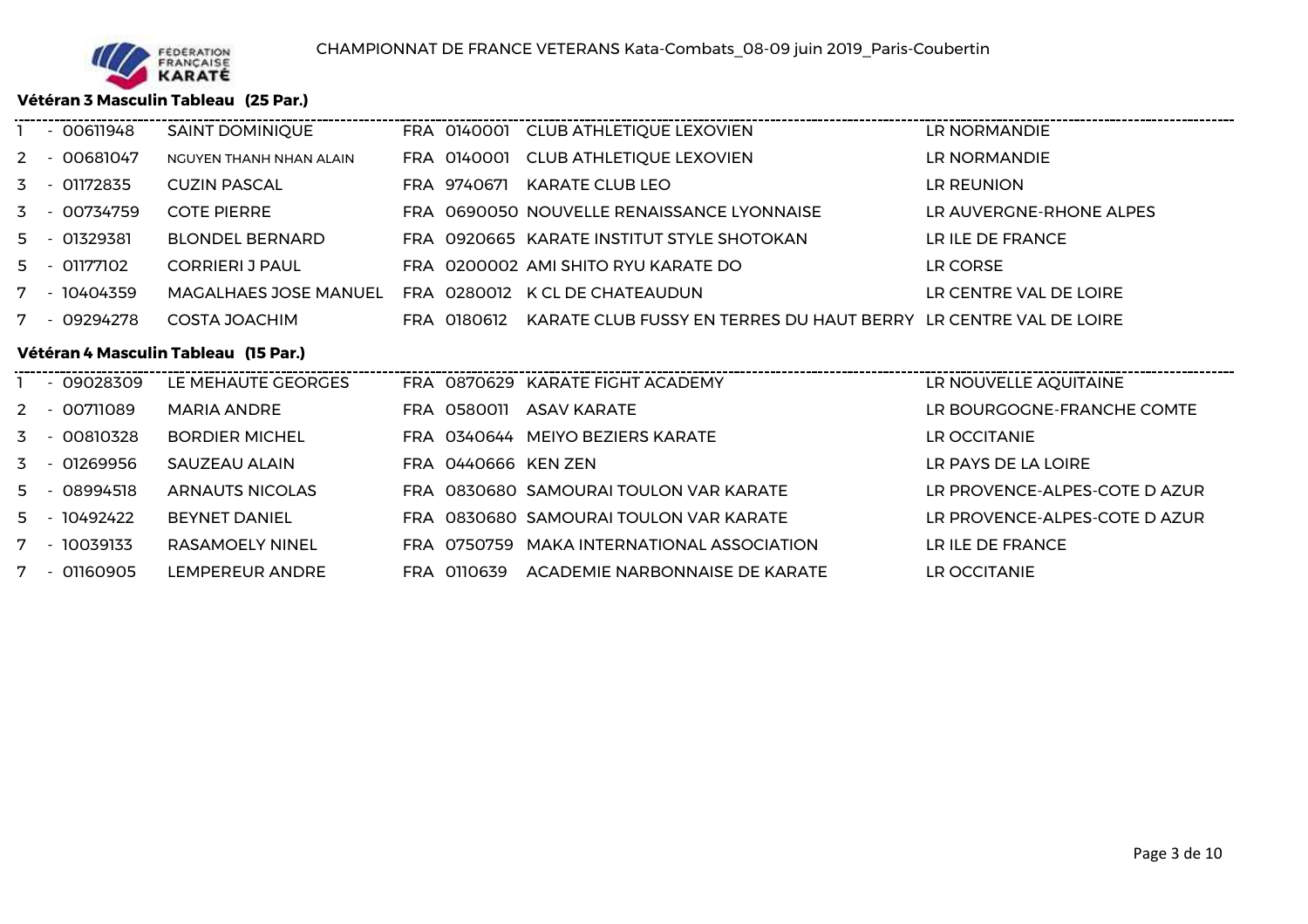

7 - <sup>01160905</sup>

LEMPEREUR ANDRE

#### **Vétéran 3 Masculin Tableau (25 Par.)**

|    |                                      | $-00611948$  | <b>SAINT DOMINIQUE</b>       |  |                     | FRA 0140001 CLUB ATHLETIQUE LEXOVIEN                             | LR NORMANDIE                  |  |  |  |  |
|----|--------------------------------------|--------------|------------------------------|--|---------------------|------------------------------------------------------------------|-------------------------------|--|--|--|--|
| 2  |                                      | - 00681047   | NGUYEN THANH NHAN ALAIN      |  |                     | FRA 0140001 CLUB ATHLETIQUE LEXOVIEN                             | LR NORMANDIE                  |  |  |  |  |
|    |                                      | 3 - 01172835 | <b>CUZIN PASCAL</b>          |  | FRA 9740671         | KARATE CLUB LEO                                                  | LR REUNION                    |  |  |  |  |
| 3  |                                      | - 00734759   | <b>COTE PIERRE</b>           |  |                     | FRA 0690050 NOUVELLE RENAISSANCE LYONNAISE                       | LR AUVERGNE-RHONE ALPES       |  |  |  |  |
| 5  |                                      | - 01329381   | <b>BLONDEL BERNARD</b>       |  |                     | FRA 0920665 KARATE INSTITUT STYLE SHOTOKAN                       | LR ILE DE FRANCE              |  |  |  |  |
|    |                                      | 5 - 01177102 | <b>CORRIERI J PAUL</b>       |  |                     | FRA 0200002 AMI SHITO RYU KARATE DO                              | LR CORSE                      |  |  |  |  |
|    |                                      | 7 - 10404359 | <b>MAGALHAES JOSE MANUEL</b> |  |                     | FRA 0280012 K CL DE CHATEAUDUN                                   | LR CENTRE VAL DE LOIRE        |  |  |  |  |
|    |                                      | 7 - 09294278 | COSTA JOACHIM                |  | FRA 0180612         | KARATE CLUB FUSSY EN TERRES DU HAUT BERRY LR CENTRE VAL DE LOIRE |                               |  |  |  |  |
|    | Vétéran 4 Masculin Tableau (15 Par.) |              |                              |  |                     |                                                                  |                               |  |  |  |  |
|    |                                      |              |                              |  |                     |                                                                  |                               |  |  |  |  |
|    |                                      | - 09028309   | LE MEHAUTE GEORGES           |  |                     | FRA 0870629 KARATE FIGHT ACADEMY                                 | LR NOUVELLE AQUITAINE         |  |  |  |  |
|    |                                      | 2 - 00711089 | <b>MARIA ANDRE</b>           |  |                     | FRA 0580011 ASAV KARATE                                          | LR BOURGOGNE-FRANCHE COMTE    |  |  |  |  |
|    |                                      | 3 - 00810328 | <b>BORDIER MICHEL</b>        |  |                     | FRA 0340644 MEIYO BEZIERS KARATE                                 | LR OCCITANIE                  |  |  |  |  |
| 3. |                                      | - 01269956   | SAUZEAU ALAIN                |  | FRA 0440666 KEN ZEN |                                                                  | LR PAYS DE LA LOIRE           |  |  |  |  |
| 5. |                                      | - 08994518   | <b>ARNAUTS NICOLAS</b>       |  |                     | FRA 0830680 SAMOURAI TOULON VAR KARATE                           | LR PROVENCE-ALPES-COTE D AZUR |  |  |  |  |
|    |                                      | 5 - 10492422 | <b>BEYNET DANIEL</b>         |  |                     | FRA 0830680 SAMOURAI TOULON VAR KARATE                           | LR PROVENCE-ALPES-COTE D AZUR |  |  |  |  |

FRA <sup>0110639</sup> ACADEMIE NARBONNAISE DE KARATE LR OCCITANIE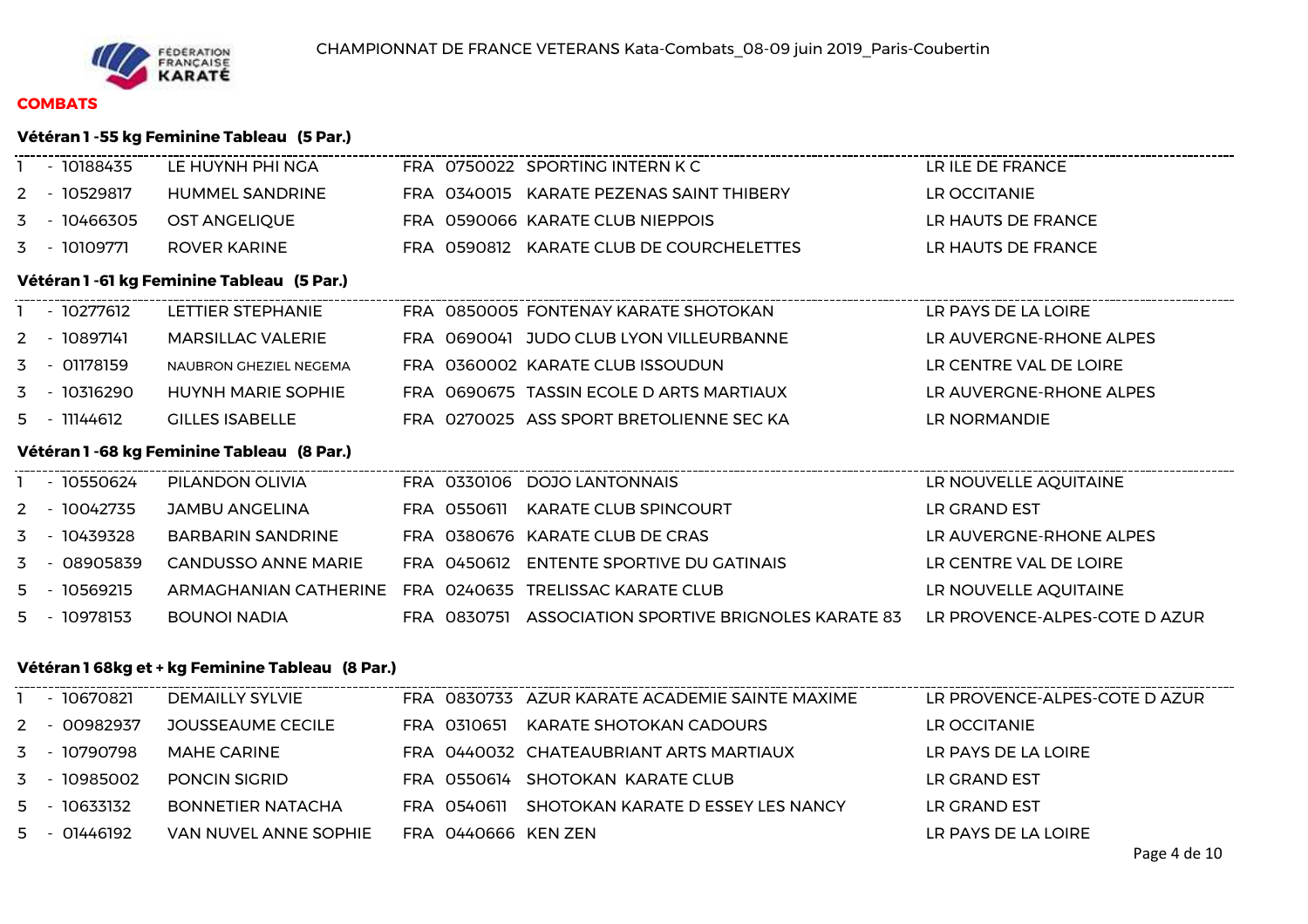

# **COMBATS**

### **Vétéran 1 -55 kg Feminine Tableau (5 Par.)**

|                                                 | - 10188435   | LE HUYNH PHI NGA                           |  |  | FRA 0750022 SPORTING INTERN K C                                                    | LR ILE DE FRANCE              |  |  |  |  |
|-------------------------------------------------|--------------|--------------------------------------------|--|--|------------------------------------------------------------------------------------|-------------------------------|--|--|--|--|
|                                                 | 2 - 10529817 | HUMMEL SANDRINE                            |  |  | FRA 0340015 KARATE PEZENAS SAINT THIBERY                                           | LR OCCITANIE                  |  |  |  |  |
|                                                 | 3 - 10466305 | <b>OST ANGELIQUE</b>                       |  |  | FRA 0590066 KARATE CLUB NIEPPOIS                                                   | LR HAUTS DE FRANCE            |  |  |  |  |
|                                                 | 3 - 10109771 | <b>ROVER KARINE</b>                        |  |  | FRA 0590812 KARATE CLUB DE COURCHELETTES                                           | LR HAUTS DE FRANCE            |  |  |  |  |
|                                                 |              | Vétéran 1 -61 kg Feminine Tableau (5 Par.) |  |  |                                                                                    |                               |  |  |  |  |
|                                                 | 1 - 10277612 | LETTIER STEPHANIE                          |  |  | ---------------------------------<br>FRA 0850005 FONTENAY KARATE SHOTOKAN          | LR PAYS DE LA LOIRE           |  |  |  |  |
|                                                 | 2 - 10897141 | <b>MARSILLAC VALERIE</b>                   |  |  | FRA 0690041 JUDO CLUB LYON VILLEURBANNE                                            | LR AUVERGNE-RHONE ALPES       |  |  |  |  |
|                                                 | 3 - 01178159 | NAUBRON GHEZIEL NEGEMA                     |  |  | FRA 0360002 KARATE CLUB ISSOUDUN                                                   | LR CENTRE VAL DE LOIRE        |  |  |  |  |
|                                                 | 3 - 10316290 | <b>HUYNH MARIE SOPHIE</b>                  |  |  | FRA 0690675 TASSIN ECOLE D ARTS MARTIAUX                                           | LR AUVERGNE-RHONE ALPES       |  |  |  |  |
|                                                 | 5 - 11144612 | <b>GILLES ISABELLE</b>                     |  |  | FRA 0270025 ASS SPORT BRETOLIENNE SEC KA                                           | LR NORMANDIE                  |  |  |  |  |
|                                                 |              | Vétéran 1 -68 kg Feminine Tableau (8 Par.) |  |  |                                                                                    |                               |  |  |  |  |
|                                                 | 1 - 10550624 | PILANDON OLIVIA                            |  |  | FRA 0330106 DOJO LANTONNAIS                                                        | LR NOUVELLE AQUITAINE         |  |  |  |  |
|                                                 | 2 - 10042735 | JAMBU ANGELINA                             |  |  | FRA 0550611 KARATE CLUB SPINCOURT                                                  | LR GRAND EST                  |  |  |  |  |
|                                                 | 3 - 10439328 | <b>BARBARIN SANDRINE</b>                   |  |  | FRA 0380676 KARATE CLUB DE CRAS                                                    | LR AUVERGNE-RHONE ALPES       |  |  |  |  |
|                                                 | 3 - 08905839 | <b>CANDUSSO ANNE MARIE</b>                 |  |  | FRA 0450612 ENTENTE SPORTIVE DU GATINAIS                                           | LR CENTRE VAL DE LOIRE        |  |  |  |  |
|                                                 | 5 - 10569215 | ARMAGHANIAN CATHERINE                      |  |  | FRA 0240635 TRELISSAC KARATE CLUB                                                  | LR NOUVELLE AQUITAINE         |  |  |  |  |
|                                                 | 5 - 10978153 | <b>BOUNOI NADIA</b>                        |  |  | FRA 0830751 ASSOCIATION SPORTIVE BRIGNOLES KARATE 83 LR PROVENCE-ALPES-COTE D AZUR |                               |  |  |  |  |
| Vétéran 168kg et + kg Feminine Tableau (8 Par.) |              |                                            |  |  |                                                                                    |                               |  |  |  |  |
|                                                 | 1 - 10670821 | <b>DEMAILLY SYLVIE</b>                     |  |  | FRA 0830733 AZUR KARATE ACADEMIE SAINTE MAXIME                                     | LR PROVENCE-ALPES-COTE D AZUR |  |  |  |  |
|                                                 | 2 - 00982937 | JOUSSEAUME CECILE                          |  |  | FRA 0310651 KARATE SHOTOKAN CADOURS                                                | LR OCCITANIE                  |  |  |  |  |
|                                                 | 3 - 10790798 | <b>MAHE CARINE</b>                         |  |  | FRA 0440032 CHATEAUBRIANT ARTS MARTIAUX                                            | LR PAYS DE LA LOIRE           |  |  |  |  |
|                                                 | 3 - 10985002 | PONCIN SIGRID                              |  |  | FRA 0550614 SHOTOKAN KARATE CLUB                                                   | LR GRAND EST                  |  |  |  |  |
|                                                 | 5 - 10633132 | <b>BONNETIER NATACHA</b>                   |  |  | FRA 0540611 SHOTOKAN KARATE D ESSEY LES NANCY                                      | LR GRAND EST                  |  |  |  |  |

LR PAYS DE LA LOIRE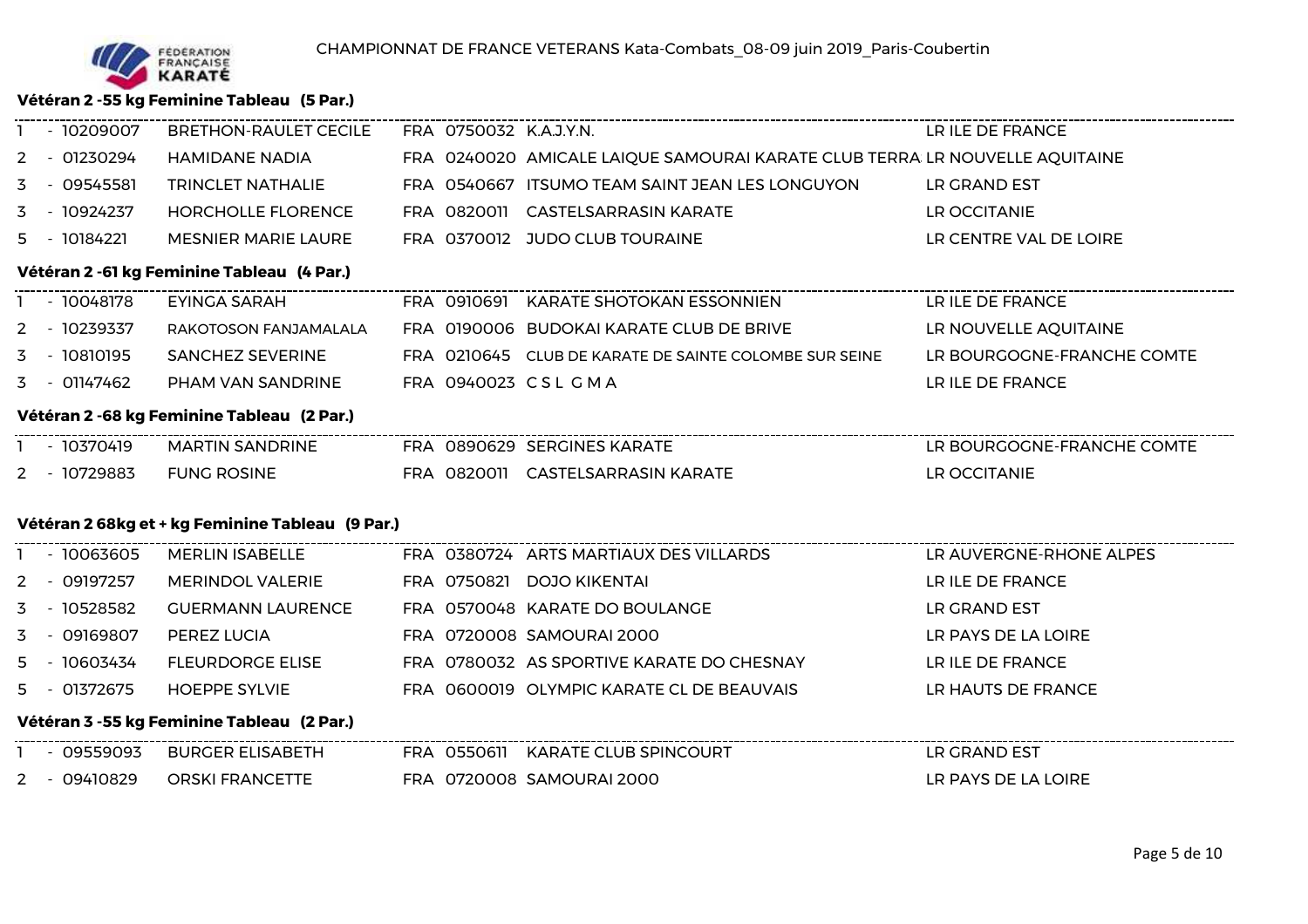**Vétéran 2 -55 kg Feminine Tableau (5 Par.)**

| - 10209007   | BRETHON-RAULET CECILE                            |  | FRA 0750032 K.A.J.Y.N.                                                      | LR ILE DE FRANCE           |
|--------------|--------------------------------------------------|--|-----------------------------------------------------------------------------|----------------------------|
| 2 - 01230294 | HAMIDANE NADIA                                   |  | FRA 0240020 AMICALE LAIQUE SAMOURAI KARATE CLUB TERRA LR NOUVELLE AQUITAINE |                            |
| 3 - 09545581 | <b>TRINCLET NATHALIE</b>                         |  | FRA 0540667 ITSUMO TEAM SAINT JEAN LES LONGUYON                             | LR GRAND EST               |
| 3 - 10924237 | <b>HORCHOLLE FLORENCE</b>                        |  | FRA 0820011 CASTELSARRASIN KARATE                                           | LR OCCITANIE               |
| 5 - 10184221 | <b>MESNIER MARIE LAURE</b>                       |  | FRA 0370012 JUDO CLUB TOURAINE                                              | LR CENTRE VAL DE LOIRE     |
|              | Vétéran 2 -61 kg Feminine Tableau (4 Par.)       |  |                                                                             |                            |
| 1 - 10048178 | EYINGA SARAH                                     |  | FRA 0910691 KARATE SHOTOKAN ESSONNIEN                                       |                            |
| 2 - 10239337 | RAKOTOSON FANJAMALALA                            |  | FRA 0190006 BUDOKAI KARATE CLUB DE BRIVE                                    | LR NOUVELLE AQUITAINE      |
| 3 - 10810195 | <b>SANCHEZ SEVERINE</b>                          |  | FRA 0210645 CLUB DE KARATE DE SAINTE COLOMBE SUR SEINE                      | LR BOURGOGNE-FRANCHE COMTE |
| 3 - 01147462 | PHAM VAN SANDRINE                                |  | FRA 0940023 CSL GMA                                                         | LR ILE DE FRANCE           |
|              | Vétéran 2 -68 kg Feminine Tableau (2 Par.)       |  |                                                                             |                            |
| 1 - 10370419 | MARTIN SANDRINE                                  |  | FRA 0890629 SERGINES KARATE                                                 | LR BOURGOGNE-FRANCHE COMTE |
| 2 - 10729883 | <b>FUNG ROSINE</b>                               |  | FRA 0820011 CASTELSARRASIN KARATE                                           | LR OCCITANIE               |
|              |                                                  |  |                                                                             |                            |
|              | Vétéran 2 68kg et + kg Feminine Tableau (9 Par.) |  |                                                                             |                            |
| 1 - 10063605 | <b>MERLIN ISABELLE</b>                           |  | FRA 0380724 ARTS MARTIAUX DES VILLARDS                                      | LR AUVERGNE-RHONE ALPES    |
| 2 - 09197257 | <b>MERINDOL VALERIE</b>                          |  | FRA 0750821 DOJO KIKENTAI                                                   | LR ILE DE FRANCE           |
| 3 - 10528582 | <b>GUERMANN LAURENCE</b>                         |  | FRA 0570048 KARATE DO BOULANGE                                              | LR GRAND EST               |
| 3 - 09169807 | PEREZ LUCIA                                      |  | FRA 0720008 SAMOURAI 2000                                                   | LR PAYS DE LA LOIRE        |
| 5 - 10603434 | <b>FLEURDORGE ELISE</b>                          |  | FRA 0780032 AS SPORTIVE KARATE DO CHESNAY                                   | LR ILE DE FRANCE           |
| 5 - 01372675 | <b>HOEPPE SYLVIE</b>                             |  | FRA 0600019 OLYMPIC KARATE CL DE BEAUVAIS                                   | LR HAUTS DE FRANCE         |
|              | Vétéran 3 -55 kg Feminine Tableau (2 Par.)       |  |                                                                             |                            |
|              | - 09559093 BURGER ELISABETH                      |  | FRA 0550611 KARATE CLUB SPINCOURT                                           | LR GRAND EST               |
|              | 2 - 09410829 ORSKI FRANCETTE                     |  | FRA 0720008 SAMOURAI 2000                                                   | LR PAYS DE LA LOIRE        |
|              |                                                  |  |                                                                             |                            |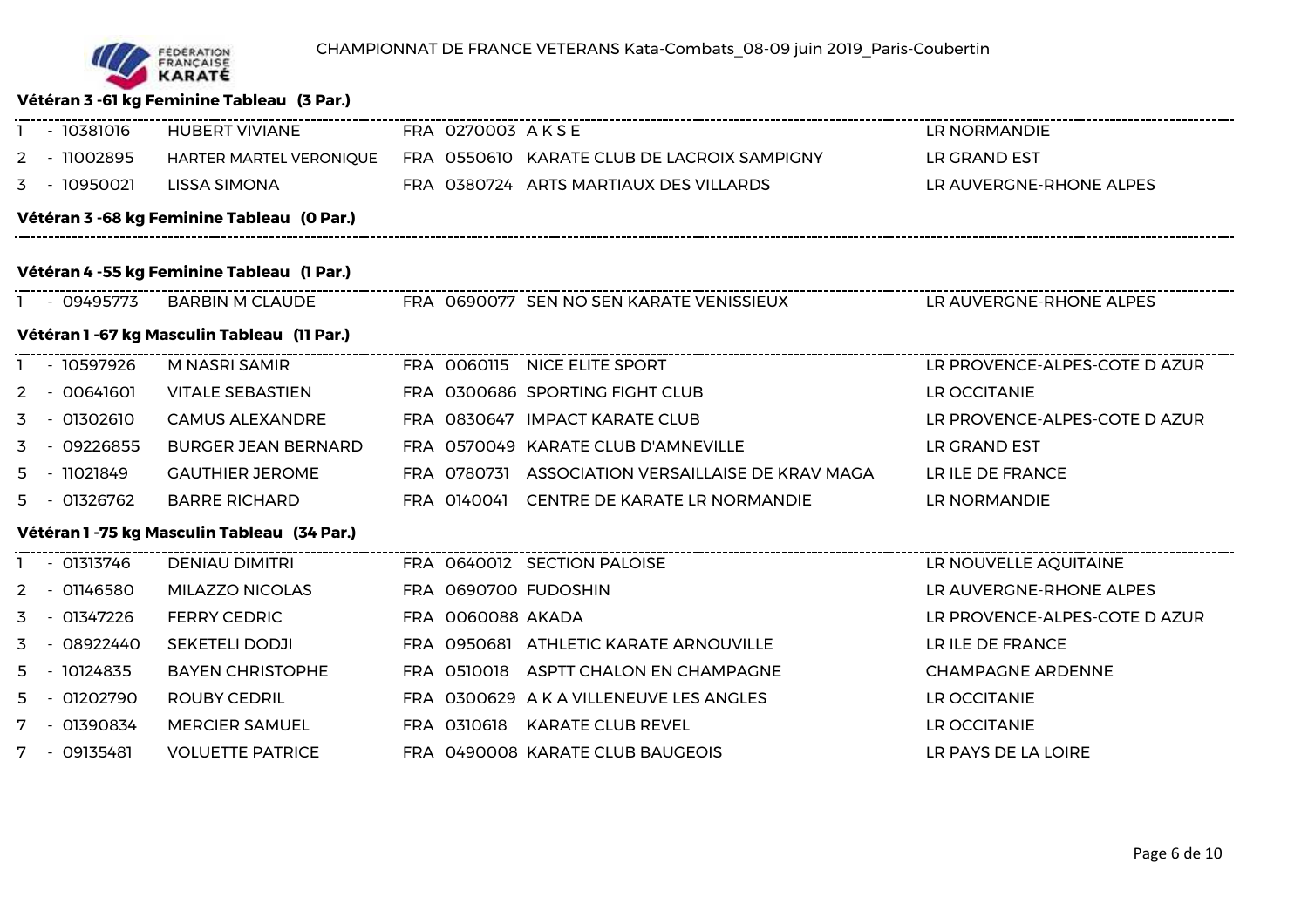

## **Vétéran 3 -61 kg Feminine Tableau (3 Par.)**

| - 10381016                                 | <b>HUBERT VIVIANE</b>                        |  | FRA 0270003 AKSE  |                                                   | LR NORMANDIE                  |  |  |  |  |
|--------------------------------------------|----------------------------------------------|--|-------------------|---------------------------------------------------|-------------------------------|--|--|--|--|
| 2 - 11002895                               | HARTER MARTEL VERONIQUE                      |  |                   | FRA 0550610 KARATE CLUB DE LACROIX SAMPIGNY       | LR GRAND EST                  |  |  |  |  |
| 3 - 10950021                               | <b>LISSA SIMONA</b>                          |  |                   | FRA 0380724 ARTS MARTIAUX DES VILLARDS            | LR AUVERGNE-RHONE ALPES       |  |  |  |  |
|                                            | Vétéran 3 -68 kg Feminine Tableau (O Par.)   |  |                   |                                                   |                               |  |  |  |  |
| Vétéran 4 -55 kg Feminine Tableau (1 Par.) |                                              |  |                   |                                                   |                               |  |  |  |  |
|                                            |                                              |  |                   |                                                   |                               |  |  |  |  |
|                                            | Vétéran 1 -67 kg Masculin Tableau (11 Par.)  |  |                   |                                                   |                               |  |  |  |  |
| 1 - 10597926                               | M NASRI SAMIR                                |  |                   | FRA 0060115 NICE ELITE SPORT                      | LR PROVENCE-ALPES-COTE D AZUR |  |  |  |  |
| 2 - 00641601                               | <b>VITALE SEBASTIEN</b>                      |  |                   | FRA 0300686 SPORTING FIGHT CLUB                   | LR OCCITANIE                  |  |  |  |  |
| 3 - 01302610                               | <b>CAMUS ALEXANDRE</b>                       |  |                   | FRA 0830647 IMPACT KARATE CLUB                    | LR PROVENCE-ALPES-COTE D AZUR |  |  |  |  |
| 3 - 09226855                               | <b>BURGER JEAN BERNARD</b>                   |  |                   | FRA 0570049 KARATE CLUB D'AMNEVILLE               | LR GRAND EST                  |  |  |  |  |
| 5 - 11021849                               | <b>GAUTHIER JEROME</b>                       |  |                   | FRA 0780731 ASSOCIATION VERSAILLAISE DE KRAV MAGA | LR ILE DE FRANCE              |  |  |  |  |
| 5 - 01326762                               | <b>BARRE RICHARD</b>                         |  |                   | FRA 0140041 CENTRE DE KARATE LR NORMANDIE         | LR NORMANDIE                  |  |  |  |  |
|                                            | Vétéran 1 - 75 kg Masculin Tableau (34 Par.) |  |                   |                                                   |                               |  |  |  |  |
| 1 - 01313746                               | <b>DENIAU DIMITRI</b>                        |  |                   | FRA 0640012 SECTION PALOISE                       | LR NOUVELLE AQUITAINE         |  |  |  |  |
| 2 - 01146580                               | MILAZZO NICOLAS                              |  |                   | FRA 0690700 FUDOSHIN                              | LR AUVERGNE-RHONE ALPES       |  |  |  |  |
| 3 - 01347226                               | <b>FERRY CEDRIC</b>                          |  | FRA 0060088 AKADA |                                                   | LR PROVENCE-ALPES-COTE D AZUR |  |  |  |  |
| 3 - 08922440                               | <b>SEKETELI DODJI</b>                        |  |                   | FRA 0950681 ATHLETIC KARATE ARNOUVILLE            | LR ILE DE FRANCE              |  |  |  |  |
| 5 - 10124835                               | <b>BAYEN CHRISTOPHE</b>                      |  |                   | FRA 0510018 ASPTT CHALON EN CHAMPAGNE             | <b>CHAMPAGNE ARDENNE</b>      |  |  |  |  |
| 5 - 01202790                               | <b>ROUBY CEDRIL</b>                          |  |                   | FRA 0300629 A K A VILLENEUVE LES ANGLES           | LR OCCITANIE                  |  |  |  |  |
| 7 - 01390834                               | <b>MERCIER SAMUEL</b>                        |  |                   | FRA 0310618 KARATE CLUB REVEL                     | LR OCCITANIE                  |  |  |  |  |
| 7 - 09135481                               | <b>VOLUETTE PATRICE</b>                      |  |                   | FRA 0490008 KARATE CLUB BAUGEOIS                  | LR PAYS DE LA LOIRE           |  |  |  |  |
|                                            |                                              |  |                   |                                                   |                               |  |  |  |  |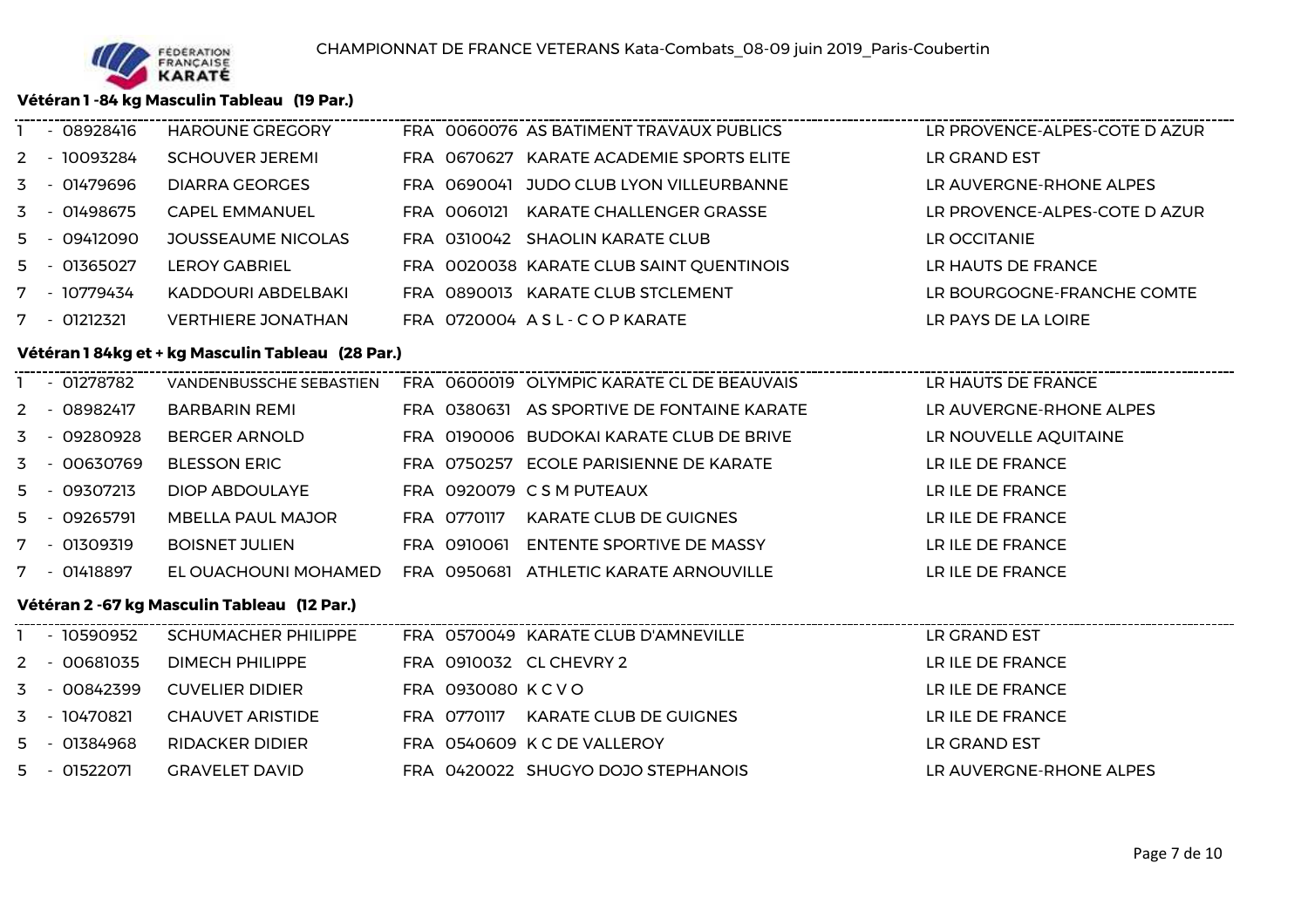

3 - 10470821

5 - <sup>01384968</sup>

5 - 01522071

**CHAUVET ARISTIDE** 

RIDACKER DIDIER

GRAVELET DAVID

#### **Vétéran 1 -84 kg Masculin Tableau (19 Par.)**

|   | $-08928416$  | HAROUNE GREGORY                                  |                  | FRA 0060076 AS BATIMENT TRAVAUX PUBLICS                           | LR PROVENCE-ALPES-COTE D AZUR |
|---|--------------|--------------------------------------------------|------------------|-------------------------------------------------------------------|-------------------------------|
|   | 2 - 10093284 | SCHOUVER JEREMI                                  |                  | FRA 0670627 KARATE ACADEMIE SPORTS ELITE                          | LR GRAND EST                  |
| 3 | $-01479696$  | <b>DIARRA GEORGES</b>                            |                  | FRA 0690041 JUDO CLUB LYON VILLEURBANNE                           | LR AUVERGNE-RHONE ALPES       |
|   | 3 - 01498675 | <b>CAPEL EMMANUEL</b>                            |                  | FRA 0060121 KARATE CHALLENGER GRASSE                              | LR PROVENCE-ALPES-COTE D AZUR |
|   | 5 - 09412090 | JOUSSEAUME NICOLAS                               |                  | FRA 0310042 SHAOLIN KARATE CLUB                                   | LR OCCITANIE                  |
|   | 5 - 01365027 | <b>LEROY GABRIEL</b>                             |                  | FRA 0020038 KARATE CLUB SAINT QUENTINOIS                          | LR HAUTS DE FRANCE            |
|   | 7 - 10779434 | KADDOURI ABDELBAKI                               |                  | FRA 0890013 KARATE CLUB STCLEMENT                                 | LR BOURGOGNE-FRANCHE COMTE    |
|   | 7 - 01212321 | <b>VERTHIERE JONATHAN</b>                        |                  | FRA 0720004 ASL-COPKARATE                                         | LR PAYS DE LA LOIRE           |
|   |              | Vétéran 184kg et + kg Masculin Tableau (28 Par.) |                  |                                                                   |                               |
|   | 1 - 01278782 |                                                  |                  | VANDENBUSSCHE SEBASTIEN FRA 0600019 OLYMPIC KARATE CL DE BEAUVAIS | LR HAUTS DE FRANCE            |
|   | 2 - 08982417 | BARBARIN REMI                                    |                  | FRA 0380631 AS SPORTIVE DE FONTAINE KARATE                        | LR AUVERGNE-RHONE ALPES       |
|   | 3 - 09280928 | BERGER ARNOLD                                    |                  | FRA 0190006 BUDOKAI KARATE CLUB DE BRIVE                          | LR NOUVELLE AQUITAINE         |
| 3 | - 00630769   | <b>BLESSON ERIC</b>                              |                  | FRA 0750257 ECOLE PARISIENNE DE KARATE                            | LR ILE DE FRANCE              |
|   | 5 - 09307213 | <b>DIOP ABDOULAYE</b>                            |                  | FRA 0920079 CSM PUTEAUX                                           | LR ILE DE FRANCE              |
|   | 5 - 09265791 | MBELLA PAUL MAJOR                                |                  | FRA 0770117 KARATE CLUB DE GUIGNES                                | LR ILE DE FRANCE              |
|   | 7 - 01309319 | <b>BOISNET JULIEN</b>                            |                  | FRA 0910061 ENTENTE SPORTIVE DE MASSY                             | LR ILE DE FRANCE              |
|   | 7 - 01418897 | EL OUACHOUNI MOHAMED                             |                  | FRA 0950681 ATHLETIC KARATE ARNOUVILLE                            | LR ILE DE FRANCE              |
|   |              | Vétéran 2 -67 kg Masculin Tableau (12 Par.)      |                  |                                                                   |                               |
|   | 1 - 10590952 | <b>SCHUMACHER PHILIPPE</b>                       |                  | FRA 0570049 KARATE CLUB D'AMNEVILLE                               | LR GRAND EST                  |
|   | 2 - 00681035 | DIMECH PHILIPPE                                  |                  | FRA 0910032 CL CHEVRY 2                                           | LR ILE DE FRANCE              |
|   | 3 - 00842399 | <b>CUVELIER DIDIER</b>                           | FRA 0930080 KCVO |                                                                   | LR ILE DE FRANCE              |
|   |              |                                                  |                  |                                                                   |                               |

E FRAM OTTOIIT KARATE CLUB DE GUIGNES EN ENSEMBLE DE FRANCE

FRA <sup>0420022</sup> SHUGYO DOJO STEPHANOIS LR AUVERGNE-RHONE ALPES

R FRA 0540609 K C DE VALLEROY LAND LAND EST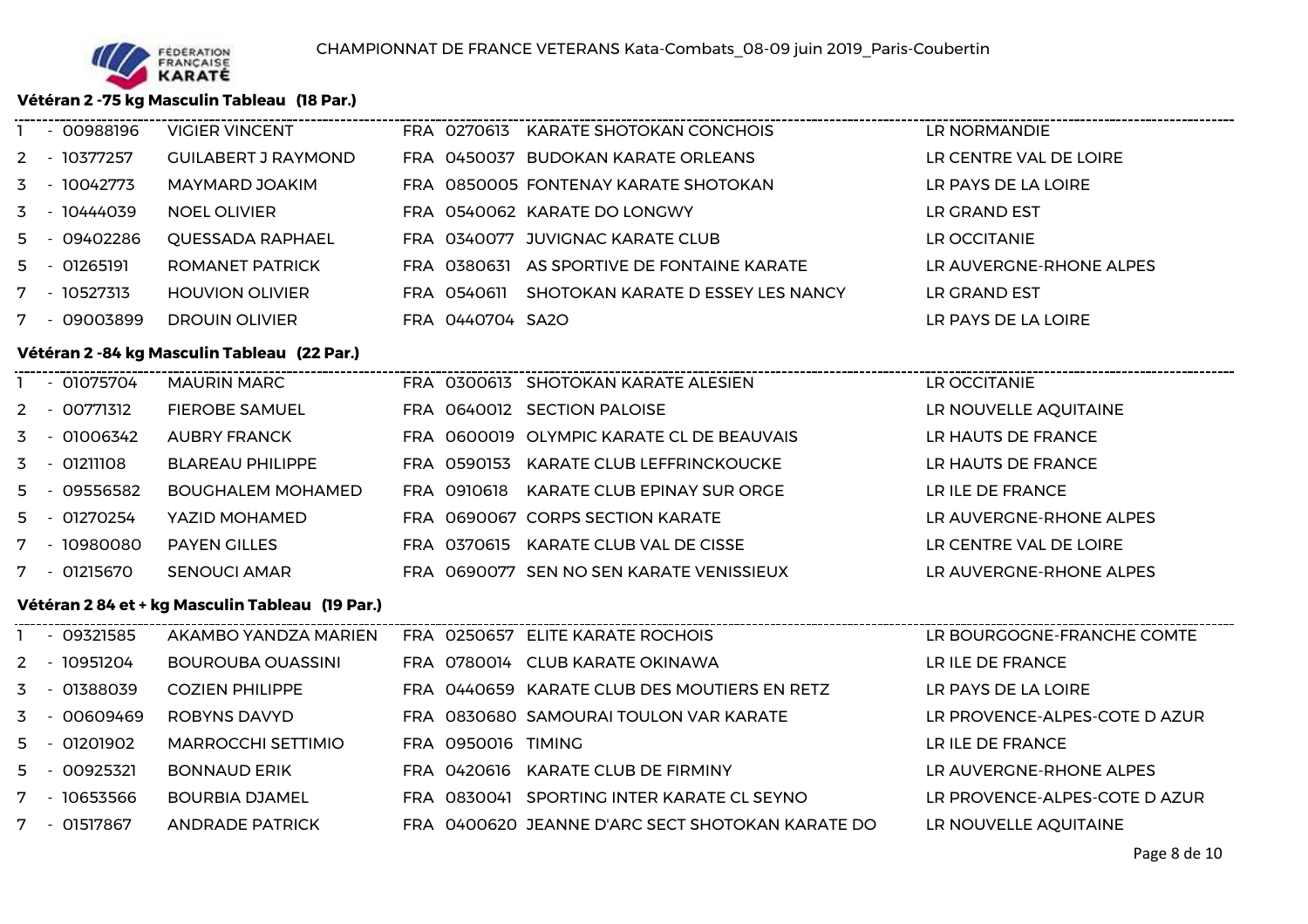

### **Vétéran 2 -75 kg Masculin Tableau (18 Par.)**

| - 00988196   | <b>VIGIER VINCENT</b>                          |                    | FRA 0270613 KARATE SHOTOKAN CONCHOIS             | LR NORMANDIE                  |
|--------------|------------------------------------------------|--------------------|--------------------------------------------------|-------------------------------|
| 2 - 10377257 | <b>GUILABERT J RAYMOND</b>                     |                    | FRA 0450037 BUDOKAN KARATE ORLEANS               | LR CENTRE VAL DE LOIRE        |
| 3 - 10042773 | MAYMARD JOAKIM                                 |                    | FRA 0850005 FONTENAY KARATE SHOTOKAN             | LR PAYS DE LA LOIRE           |
| 3 - 10444039 | <b>NOEL OLIVIER</b>                            |                    | FRA 0540062 KARATE DO LONGWY                     | LR GRAND EST                  |
| 5 - 09402286 | QUESSADA RAPHAEL                               |                    | FRA 0340077 JUVIGNAC KARATE CLUB                 | LR OCCITANIE                  |
| 5 - 01265191 | <b>ROMANET PATRICK</b>                         |                    | FRA 0380631 AS SPORTIVE DE FONTAINE KARATE       | LR AUVERGNE-RHONE ALPES       |
| 7 - 10527313 | <b>HOUVION OLIVIER</b>                         |                    | FRA 0540611 SHOTOKAN KARATE D ESSEY LES NANCY    | LR GRAND EST                  |
| 7 - 09003899 | <b>DROUIN OLIVIER</b>                          | FRA 0440704 SA2O   |                                                  | LR PAYS DE LA LOIRE           |
|              | Vétéran 2 - 84 kg Masculin Tableau (22 Par.)   |                    |                                                  |                               |
| 1 - 01075704 | <b>MAURIN MARC</b>                             |                    | FRA 0300613 SHOTOKAN KARATE ALESIEN              | LR OCCITANIE                  |
| 2 - 00771312 | <b>FIEROBE SAMUEL</b>                          |                    | FRA 0640012 SECTION PALOISE                      | LR NOUVELLE AQUITAINE         |
| 3 - 01006342 | <b>AUBRY FRANCK</b>                            |                    | FRA 0600019 OLYMPIC KARATE CL DE BEAUVAIS        | LR HAUTS DE FRANCE            |
| 3 - 01211108 | <b>BLAREAU PHILIPPE</b>                        |                    | FRA 0590153 KARATE CLUB LEFFRINCKOUCKE           | LR HAUTS DE FRANCE            |
| 5 - 09556582 | <b>BOUGHALEM MOHAMED</b>                       |                    | FRA 0910618 KARATE CLUB EPINAY SUR ORGE          | LR ILE DE FRANCE              |
| 5 - 01270254 | YAZID MOHAMED                                  |                    | FRA 0690067 CORPS SECTION KARATE                 | LR AUVERGNE-RHONE ALPES       |
| 7 - 10980080 | <b>PAYEN GILLES</b>                            |                    | FRA 0370615 KARATE CLUB VAL DE CISSE             | LR CENTRE VAL DE LOIRE        |
| 7 - 01215670 | <b>SENOUCI AMAR</b>                            |                    | FRA 0690077 SEN NO SEN KARATE VENISSIEUX         | LR AUVERGNE-RHONE ALPES       |
|              | Vétéran 284 et + kg Masculin Tableau (19 Par.) |                    |                                                  |                               |
| 1 - 09321585 | AKAMBO YANDZA MARIEN                           |                    | FRA 0250657 ELITE KARATE ROCHOIS                 | LR BOURGOGNE-FRANCHE COMTE    |
| 2 - 10951204 | BOUROUBA OUASSINI                              |                    | FRA 0780014 CLUB KARATE OKINAWA                  | LR ILE DE FRANCE              |
| 3 - 01388039 | <b>COZIEN PHILIPPE</b>                         |                    | FRA 0440659 KARATE CLUB DES MOUTIERS EN RETZ     | LR PAYS DE LA LOIRE           |
| 3 - 00609469 | ROBYNS DAVYD                                   |                    | FRA 0830680 SAMOURAI TOULON VAR KARATE           | LR PROVENCE-ALPES-COTE D AZUR |
| 5 - 01201902 | <b>MARROCCHI SETTIMIO</b>                      | FRA 0950016 TIMING |                                                  | LR ILE DE FRANCE              |
| 5 - 00925321 | <b>BONNAUD ERIK</b>                            |                    | FRA 0420616 KARATE CLUB DE FIRMINY               | LR AUVERGNE-RHONE ALPES       |
| 7 - 10653566 | <b>BOURBIA DJAMEL</b>                          |                    | FRA 0830041 SPORTING INTER KARATE CL SEYNO       | LR PROVENCE-ALPES-COTE D AZUR |
| 7 - 01517867 | <b>ANDRADE PATRICK</b>                         |                    | FRA 0400620 JEANNE D'ARC SECT SHOTOKAN KARATE DO | LR NOUVELLE AQUITAINE         |
|              |                                                |                    |                                                  |                               |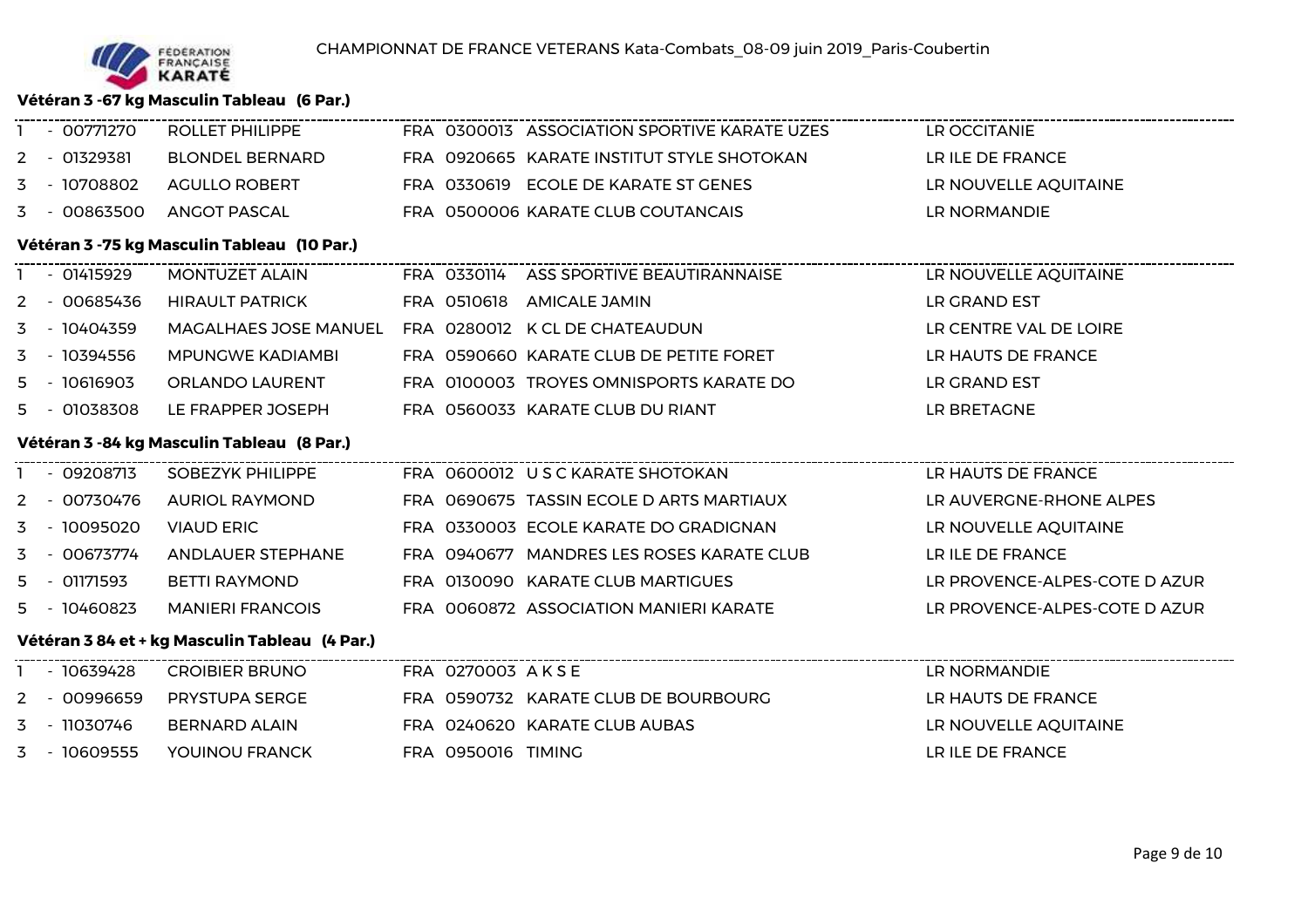

### **Vétéran 3 -67 kg Masculin Tableau (6 Par.)**

| - 00771270                                  | <b>ROLLET PHILIPPE</b>                        |  |                    | FRA 0300013 ASSOCIATION SPORTIVE KARATE UZES | LR OCCITANIE                  |  |  |  |  |  |
|---------------------------------------------|-----------------------------------------------|--|--------------------|----------------------------------------------|-------------------------------|--|--|--|--|--|
| 2 - 01329381                                | <b>BLONDEL BERNARD</b>                        |  |                    | FRA 0920665 KARATE INSTITUT STYLE SHOTOKAN   | LR ILE DE FRANCE              |  |  |  |  |  |
| 3 - 10708802                                | AGULLO ROBERT                                 |  |                    | FRA 0330619 ECOLE DE KARATE ST GENES         | LR NOUVELLE AQUITAINE         |  |  |  |  |  |
| 3 - 00863500                                | ANGOT PASCAL                                  |  |                    | FRA 0500006 KARATE CLUB COUTANCAIS           | LR NORMANDIE                  |  |  |  |  |  |
| Vétéran 3 -75 kg Masculin Tableau (10 Par.) |                                               |  |                    |                                              |                               |  |  |  |  |  |
| 1 - 01415929                                | MONTUZET ALAIN                                |  |                    | FRA 0330114 ASS SPORTIVE BEAUTIRANNAISE      | LR NOUVELLE AQUITAINE         |  |  |  |  |  |
| 2 - 00685436                                | <b>HIRAULT PATRICK</b>                        |  |                    | FRA 0510618 AMICALE JAMIN                    | LR GRAND EST                  |  |  |  |  |  |
| 3 - 10404359                                | <b>MAGALHAES JOSE MANUEL</b>                  |  |                    | FRA 0280012 K CL DE CHATEAUDUN               | LR CENTRE VAL DE LOIRE        |  |  |  |  |  |
| 3 - 10394556                                | <b>MPUNGWE KADIAMBI</b>                       |  |                    | FRA 0590660 KARATE CLUB DE PETITE FORET      | LR HAUTS DE FRANCE            |  |  |  |  |  |
| 5 - 10616903                                | ORLANDO LAURENT                               |  |                    | FRA 0100003 TROYES OMNISPORTS KARATE DO      | LR GRAND EST                  |  |  |  |  |  |
| 5 - 01038308                                | LE FRAPPER JOSEPH                             |  |                    | FRA 0560033 KARATE CLUB DU RIANT             | LR BRETAGNE                   |  |  |  |  |  |
|                                             | Vétéran 3 - 84 kg Masculin Tableau (8 Par.)   |  |                    |                                              |                               |  |  |  |  |  |
| 1 - 09208713                                | SOBEZYK PHILIPPE                              |  |                    | FRA 0600012 USCKARATESHOTOKAN                | LR HAUTS DE FRANCE            |  |  |  |  |  |
| 2 - 00730476                                | <b>AURIOL RAYMOND</b>                         |  |                    | FRA 0690675 TASSIN ECOLE D ARTS MARTIAUX     | LR AUVERGNE-RHONE ALPES       |  |  |  |  |  |
| 3 - 10095020                                | <b>VIAUD ERIC</b>                             |  |                    | FRA 0330003 ECOLE KARATE DO GRADIGNAN        | LR NOUVELLE AQUITAINE         |  |  |  |  |  |
| 3 - 00673774                                | ANDLAUER STEPHANE                             |  |                    | FRA 0940677 MANDRES LES ROSES KARATE CLUB    | LR ILE DE FRANCE              |  |  |  |  |  |
| 5 - 01171593                                | BETTI RAYMOND                                 |  |                    | FRA 0130090 KARATE CLUB MARTIGUES            | LR PROVENCE-ALPES-COTE D AZUR |  |  |  |  |  |
| 5 - 10460823                                | <b>MANIERI FRANCOIS</b>                       |  |                    | FRA 0060872 ASSOCIATION MANIERI KARATE       | LR PROVENCE-ALPES-COTE D AZUR |  |  |  |  |  |
|                                             | Vétéran 384 et + kg Masculin Tableau (4 Par.) |  |                    |                                              |                               |  |  |  |  |  |
| 1 - 10639428                                | <b>CROIBIER BRUNO</b>                         |  | FRA 0270003 AKSE   |                                              | LR NORMANDIE                  |  |  |  |  |  |
| 2 - 00996659                                | PRYSTUPA SERGE                                |  |                    | FRA 0590732 KARATE CLUB DE BOURBOURG         | LR HAUTS DE FRANCE            |  |  |  |  |  |
| 3 - 11030746                                | BERNARD ALAIN                                 |  |                    | FRA 0240620 KARATE CLUB AUBAS                | LR NOUVELLE AQUITAINE         |  |  |  |  |  |
| 3 - 10609555                                | YOUINOU FRANCK                                |  | FRA 0950016 TIMING |                                              | LR ILE DE FRANCE              |  |  |  |  |  |
|                                             |                                               |  |                    |                                              |                               |  |  |  |  |  |